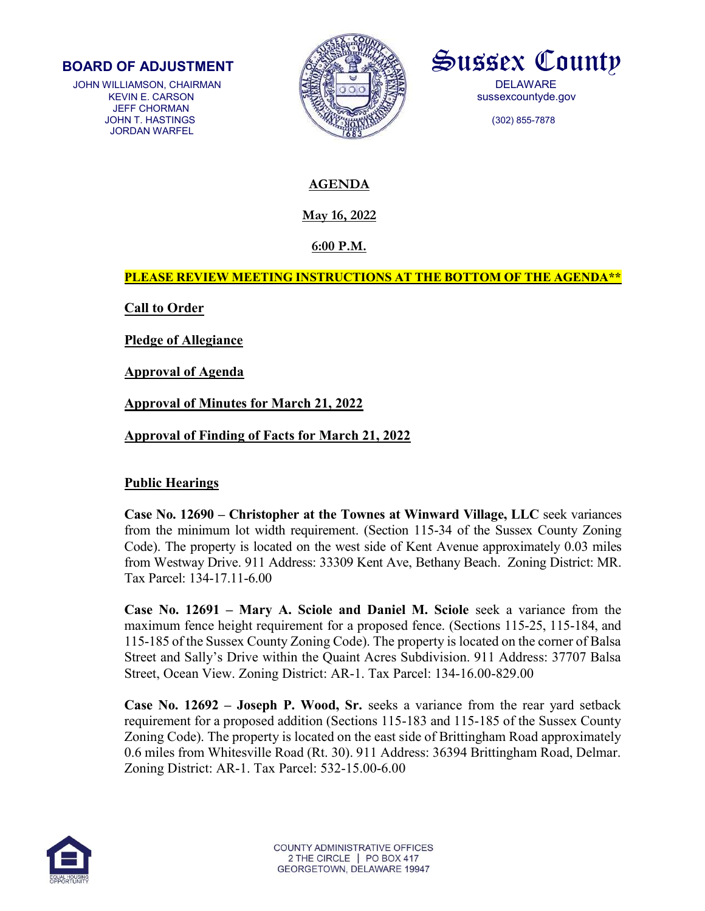

JOHN WILLIAMSON, CHAIRMAN **DELAWARE**  JEFF CHORMAN JORDAN WARFEL





# AGENDA

May 16, 2022

6:00 P.M.

PLEASE REVIEW MEETING INSTRUCTIONS AT THE BOTTOM OF THE AGENDA\*\*

**Call to Order** 

Pledge of Allegiance

Approval of Agenda

Approval of Minutes for March 21, 2022

Approval of Finding of Facts for March 21, 2022

## Public Hearings

Case No. 12690 – Christopher at the Townes at Winward Village, LLC seek variances from the minimum lot width requirement. (Section 115-34 of the Sussex County Zoning Code). The property is located on the west side of Kent Avenue approximately 0.03 miles from Westway Drive. 911 Address: 33309 Kent Ave, Bethany Beach. Zoning District: MR. Tax Parcel: 134-17.11-6.00

Case No. 12691 – Mary A. Sciole and Daniel M. Sciole seek a variance from the maximum fence height requirement for a proposed fence. (Sections 115-25, 115-184, and 115-185 of the Sussex County Zoning Code). The property is located on the corner of Balsa Street and Sally's Drive within the Quaint Acres Subdivision. 911 Address: 37707 Balsa Street, Ocean View. Zoning District: AR-1. Tax Parcel: 134-16.00-829.00

Case No. 12692 – Joseph P. Wood, Sr. seeks a variance from the rear yard setback requirement for a proposed addition (Sections 115-183 and 115-185 of the Sussex County Zoning Code). The property is located on the east side of Brittingham Road approximately 0.6 miles from Whitesville Road (Rt. 30). 911 Address: 36394 Brittingham Road, Delmar. Zoning District: AR-1. Tax Parcel: 532-15.00-6.00